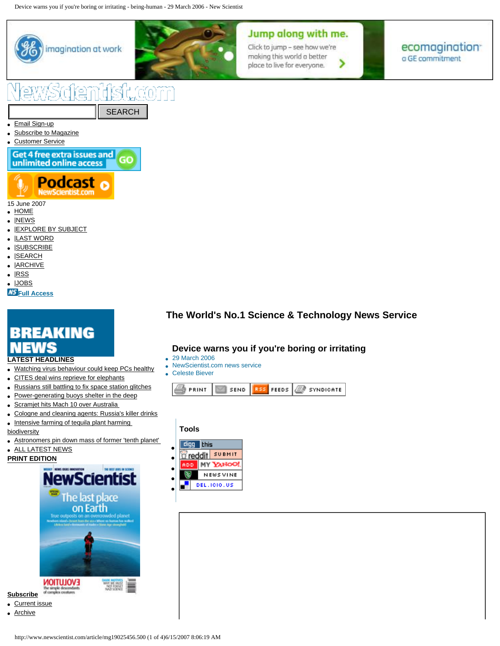Device warns you if you're boring or irritating - being-human - 29 March 2006 - New Scientist



**KS** [Full Access](http://www.newscientist.com/info.ns?id=in14)

- **[LATEST HEADLINES](http://www.newscientist.com/news.ns)**
- Watching virus behaviour could keep PCs healthy
- CITES deal wins reprieve for elephants
- [Russians still battling to fix space station glitches](http://space.newscientist.com/article/dn12080-russians-still-battling-to-fix-space-station-glitches.html)
- [Power-generating buoys shelter in the deep](http://environment.newscientist.com/article/dn12072-powergenerating-buoys-shelter-in-the-deep.html)
- [Scramjet hits Mach 10 over Australia](http://www.newscientisttech.com/article/dn12075-scramjet-hits-mach-10-over-australia-.html)
- [Cologne and cleaning agents: Russia's killer drinks](http://www.newscientist.com/article/dn12071-cologne-and-cleaning-agents-russias-killer-drinks.html)
- Intensive farming of tequila plant harming

[biodiversity](http://www.newscientist.com/article/mg19426086.200-intensive-farming-of-tequila-plant-harming-biodiversity.html) 

- Astronomers pin down mass of former 'tenth planet'
- [ALL LATEST NEWS](http://www.newscientist.com/news.ns)

**[PRINT EDITION](http://www.newscientist.com/archive.ns)**



- [Current issue](http://www.newscientist.com/contents/issue/2608.html)
- [Archive](http://www.newscientist.com/archive.ns)

# **The World's No.1 Science & Technology News Service**

## **Device warns you if you're boring or irritating**

- 29 March 2006
- NewScientist.com news service
- Celeste Biever



### **Tools**



# Jump along with me.

Click to jump - see how we're making this world a better > place to live for everyone.

ecomagination<sup>®</sup> o GE commitment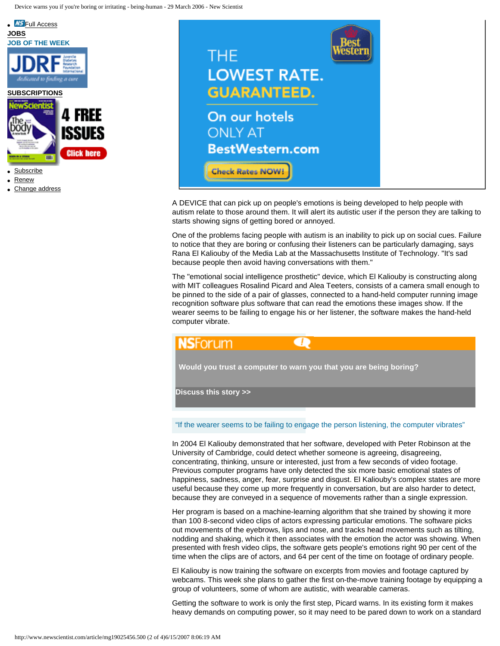

- **[Renew](http://www.newscientist.com/subscribe.ns?promcode=nslhsubsbox)**
- [Change address](http://www.newscientist.com/subscribe.ns?promcode=nslhsubsbox)

**NS** [Full Access](http://www.newscientist.com/info.ns?id=in14)



A DEVICE that can pick up on people's emotions is being developed to help people with autism relate to those around them. It will alert its autistic user if the person they are talking to starts showing signs of getting bored or annoyed.

One of the problems facing people with autism is an inability to pick up on social cues. Failure to notice that they are boring or confusing their listeners can be particularly damaging, says Rana El Kaliouby of the Media Lab at the Massachusetts Institute of Technology. "It's sad because people then avoid having conversations with them."

The "emotional social intelligence prosthetic" device, which El Kaliouby is constructing along with MIT colleagues Rosalind Picard and Alea Teeters, consists of a camera small enough to be pinned to the side of a pair of glasses, connected to a hand-held computer running image recognition software plus software that can read the emotions these images show. If the wearer seems to be failing to engage his or her listener, the software makes the hand-held computer vibrate.



**[Would you trust a computer to warn you that you are being boring?](http://community.newscientist.com/forum.jspa?forumID=36)**

**[Discuss this story >>](http://community.newscientist.com/forum.jspa?forumID=36)**

"If the wearer seems to be failing to engage the person listening, the computer vibrates"

In 2004 El Kaliouby demonstrated that her software, developed with Peter Robinson at the University of Cambridge, could detect whether someone is agreeing, disagreeing, concentrating, thinking, unsure or interested, just from a few seconds of video footage. Previous computer programs have only detected the six more basic emotional states of happiness, sadness, anger, fear, surprise and disgust. El Kaliouby's complex states are more useful because they come up more frequently in conversation, but are also harder to detect, because they are conveyed in a sequence of movements rather than a single expression.

Her program is based on a machine-learning algorithm that she trained by showing it more than 100 8-second video clips of actors expressing particular emotions. The software picks out movements of the eyebrows, lips and nose, and tracks head movements such as tilting, nodding and shaking, which it then associates with the emotion the actor was showing. When presented with fresh video clips, the software gets people's emotions right 90 per cent of the time when the clips are of actors, and 64 per cent of the time on footage of ordinary people.

El Kaliouby is now training the software on excerpts from movies and footage captured by webcams. This week she plans to gather the first on-the-move training footage by equipping a group of volunteers, some of whom are autistic, with wearable cameras.

Getting the software to work is only the first step, Picard warns. In its existing form it makes heavy demands on computing power, so it may need to be pared down to work on a standard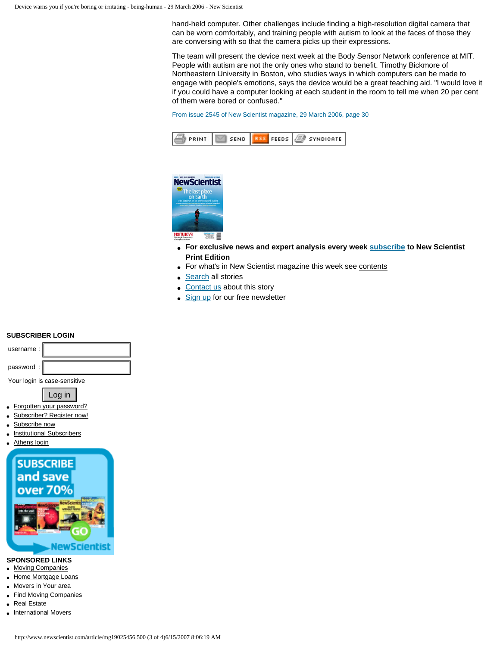hand-held computer. Other challenges include finding a high-resolution digital camera that can be worn comfortably, and training people with autism to look at the faces of those they are conversing with so that the camera picks up their expressions.

The team will present the device next week at the Body Sensor Network conference at MIT. People with autism are not the only ones who stand to benefit. Timothy Bickmore of Northeastern University in Boston, who studies ways in which computers can be made to engage with people's emotions, says the device would be a great teaching aid. "I would love it if you could have a computer looking at each student in the room to tell me when 20 per cent of them were bored or confused."

From issue 2545 of New Scientist magazine, 29 March 2006, page 30





- **For exclusive news and expert analysis every week [subscribe](http://www.newscientist.com/subscribe.ns?promcode=nsartend) to New Scientist Print Edition**
- For what's in New Scientist magazine this week see [contents](http://www.newscientist.com/contents.ns?query=issue:2608)
- **[Search](http://www.newscientist.com/search.ns)** all stories
- [Contact us](http://www.newscientist.com/contactperson.ns?recipient=dn) about this story
- [Sign up](http://www.newscientist.com/signup/) for our free newsletter

#### **SUBSCRIBER LOGIN**



Your login is case-sensitive



- [Forgotten your password?](http://www.newscientist.com/loginreminder.ns)
- [Subscriber? Register now!](http://www.newscientist.com/register)
- [Subscribe now](http://www.newscientist.com/subscribe.ns?promcode=nstext)
- [Institutional Subscribers](http://www.newscientist.com/institution.ns)
- [Athens login](http://www.newscientist.com/athenslogin.ns)



#### **SPONSORED LINKS**

- [Moving Companies](http://www.movingexplorer.com/)
- [Home Mortgage Loans](http://www.nationalmortgage.com/)
- [Movers in Your area](http://www.vanlines.com/)
- [Find Moving Companies](http://www.vanlines.com/moving.html)
- [Real Estate](http://www.usrealestate.com/)
- [International Movers](http://www.internationalmovers.com/)